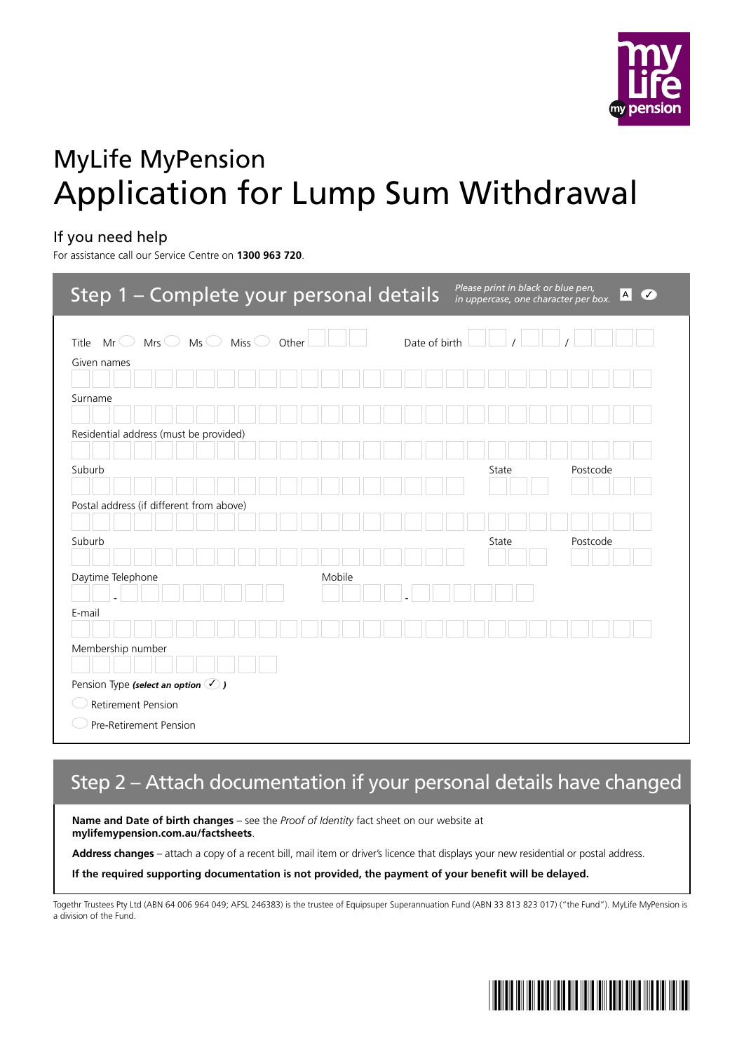

# MyLife MyPension Application for Lump Sum Withdrawal

### If you need help

For assistance call our Service Centre on **1300 963 720**.

| Step 1 - Complete your personal details                                  | Please print in black or blue pen,<br>$\mathsf{A}$<br>$\sigma$<br>in uppercase, one character per box. |
|--------------------------------------------------------------------------|--------------------------------------------------------------------------------------------------------|
| Miss $\bigcirc$<br>Mrs<br>$MS \bigcirc$<br>Title<br>Mr $\cup$<br>Other   | Date of birth                                                                                          |
| Given names                                                              |                                                                                                        |
| Surname                                                                  |                                                                                                        |
| Residential address (must be provided)                                   |                                                                                                        |
| Suburb                                                                   | State<br>Postcode                                                                                      |
| Postal address (if different from above)                                 |                                                                                                        |
| Suburb                                                                   | Postcode<br>State                                                                                      |
| Daytime Telephone<br>Mobile                                              |                                                                                                        |
| E-mail                                                                   |                                                                                                        |
| Membership number                                                        |                                                                                                        |
| Pension Type (select an option $\bigcirc$ )<br><b>Retirement Pension</b> |                                                                                                        |
| Pre-Retirement Pension                                                   |                                                                                                        |

## Step 2 – Attach documentation if your personal details have changed

**Name and Date of birth changes** – see the *Proof of Identity* fact sheet on our website at **mylifemypension.com.au/factsheets**.

Address changes - attach a copy of a recent bill, mail item or driver's licence that displays your new residential or postal address.

**If the required supporting documentation is not provided, the payment of your benefit will be delayed.**

Togethr Trustees Pty Ltd (ABN 64 006 964 049; AFSL 246383) is the trustee of Equipsuper Superannuation Fund (ABN 33 813 823 017) ("the Fund"). MyLife MyPension is a division of the Fund.

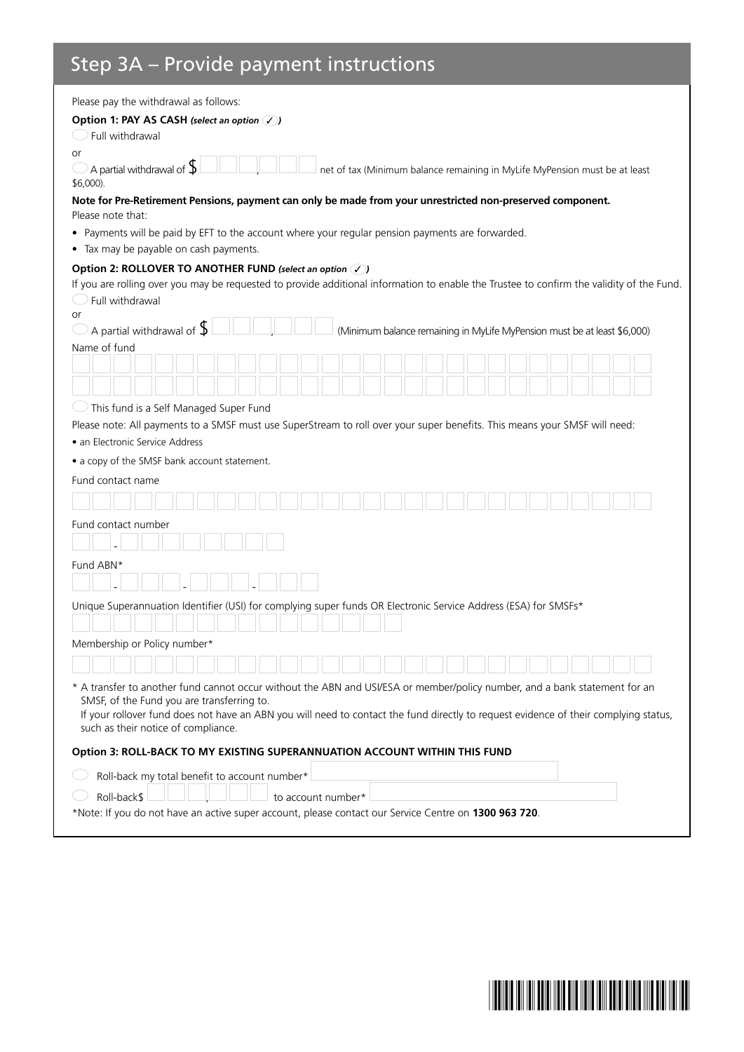### Step 3A – Provide payment instructions

| Please pay the withdrawal as follows:                                                                                                                                                                                                                                                                                                                   |
|---------------------------------------------------------------------------------------------------------------------------------------------------------------------------------------------------------------------------------------------------------------------------------------------------------------------------------------------------------|
| Option 1: PAY AS CASH (select an option $\mathcal{V}$ )<br>Full withdrawal                                                                                                                                                                                                                                                                              |
| or<br>A partial withdrawal of ${\mathsf S}$<br>net of tax (Minimum balance remaining in MyLife MyPension must be at least<br>\$6,000).                                                                                                                                                                                                                  |
| Note for Pre-Retirement Pensions, payment can only be made from your unrestricted non-preserved component.<br>Please note that:                                                                                                                                                                                                                         |
| • Payments will be paid by EFT to the account where your regular pension payments are forwarded.<br>• Tax may be payable on cash payments.                                                                                                                                                                                                              |
| Option 2: ROLLOVER TO ANOTHER FUND (select an option V)                                                                                                                                                                                                                                                                                                 |
| If you are rolling over you may be requested to provide additional information to enable the Trustee to confirm the validity of the Fund.                                                                                                                                                                                                               |
| Full withdrawal                                                                                                                                                                                                                                                                                                                                         |
| <b>or</b>                                                                                                                                                                                                                                                                                                                                               |
| A partial withdrawal of $\operatorname{\mathsf{S}}$<br>(Minimum balance remaining in MyLife MyPension must be at least \$6,000)<br>Name of fund                                                                                                                                                                                                         |
|                                                                                                                                                                                                                                                                                                                                                         |
|                                                                                                                                                                                                                                                                                                                                                         |
| This fund is a Self Managed Super Fund                                                                                                                                                                                                                                                                                                                  |
| Please note: All payments to a SMSF must use SuperStream to roll over your super benefits. This means your SMSF will need:                                                                                                                                                                                                                              |
| • an Electronic Service Address                                                                                                                                                                                                                                                                                                                         |
| • a copy of the SMSF bank account statement.                                                                                                                                                                                                                                                                                                            |
| Fund contact name                                                                                                                                                                                                                                                                                                                                       |
|                                                                                                                                                                                                                                                                                                                                                         |
| Fund contact number                                                                                                                                                                                                                                                                                                                                     |
|                                                                                                                                                                                                                                                                                                                                                         |
| Fund ABN*                                                                                                                                                                                                                                                                                                                                               |
|                                                                                                                                                                                                                                                                                                                                                         |
| Unique Superannuation Identifier (USI) for complying super funds OR Electronic Service Address (ESA) for SMSFs*                                                                                                                                                                                                                                         |
|                                                                                                                                                                                                                                                                                                                                                         |
| Membership or Policy number*                                                                                                                                                                                                                                                                                                                            |
|                                                                                                                                                                                                                                                                                                                                                         |
| * A transfer to another fund cannot occur without the ABN and USI/ESA or member/policy number, and a bank statement for an<br>SMSF, of the Fund you are transferring to.<br>If your rollover fund does not have an ABN you will need to contact the fund directly to request evidence of their complying status,<br>such as their notice of compliance. |
| Option 3: ROLL-BACK TO MY EXISTING SUPERANNUATION ACCOUNT WITHIN THIS FUND                                                                                                                                                                                                                                                                              |
| Roll-back my total benefit to account number*                                                                                                                                                                                                                                                                                                           |
| Roll-back\$<br>to account number*                                                                                                                                                                                                                                                                                                                       |
| *Note: If you do not have an active super account, please contact our Service Centre on 1300 963 720.                                                                                                                                                                                                                                                   |

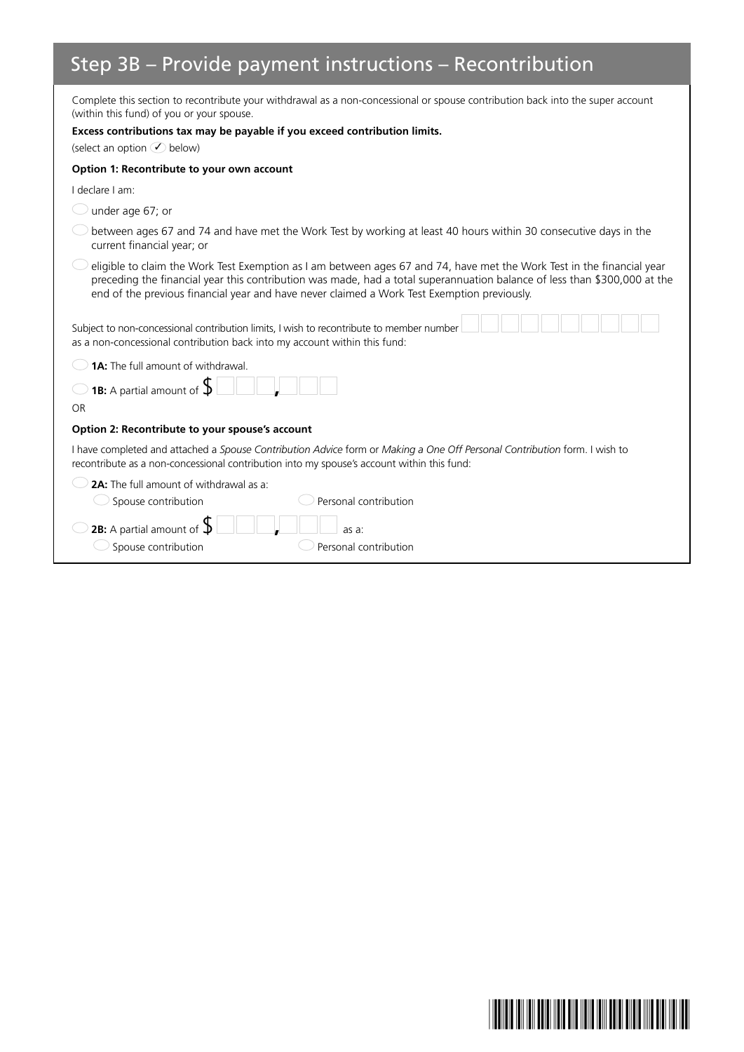# Step 3B – Provide payment instructions – Recontribution

| Complete this section to recontribute your withdrawal as a non-concessional or spouse contribution back into the super account<br>(within this fund) of you or your spouse.                                                                                                                                                                        |
|----------------------------------------------------------------------------------------------------------------------------------------------------------------------------------------------------------------------------------------------------------------------------------------------------------------------------------------------------|
| Excess contributions tax may be payable if you exceed contribution limits.                                                                                                                                                                                                                                                                         |
| (select an option $\bigcirc$ below)                                                                                                                                                                                                                                                                                                                |
| Option 1: Recontribute to your own account                                                                                                                                                                                                                                                                                                         |
| I declare I am:                                                                                                                                                                                                                                                                                                                                    |
| under age 67; or                                                                                                                                                                                                                                                                                                                                   |
| between ages 67 and 74 and have met the Work Test by working at least 40 hours within 30 consecutive days in the<br>current financial year; or                                                                                                                                                                                                     |
| eligible to claim the Work Test Exemption as I am between ages 67 and 74, have met the Work Test in the financial year<br>preceding the financial year this contribution was made, had a total superannuation balance of less than \$300,000 at the<br>end of the previous financial year and have never claimed a Work Test Exemption previously. |
| Subject to non-concessional contribution limits, I wish to recontribute to member number<br>as a non-concessional contribution back into my account within this fund:                                                                                                                                                                              |
| <b>1A:</b> The full amount of withdrawal.                                                                                                                                                                                                                                                                                                          |
| <b>1B:</b> A partial amount of $\oint$                                                                                                                                                                                                                                                                                                             |
| <b>OR</b>                                                                                                                                                                                                                                                                                                                                          |
| Option 2: Recontribute to your spouse's account                                                                                                                                                                                                                                                                                                    |
| I have completed and attached a Spouse Contribution Advice form or Making a One Off Personal Contribution form. I wish to<br>recontribute as a non-concessional contribution into my spouse's account within this fund:                                                                                                                            |
| <b>2A:</b> The full amount of withdrawal as a:                                                                                                                                                                                                                                                                                                     |
| Personal contribution<br>Spouse contribution                                                                                                                                                                                                                                                                                                       |
| <b>2B:</b> A partial amount of $\oint$<br>as a:                                                                                                                                                                                                                                                                                                    |
| Spouse contribution<br>Personal contribution                                                                                                                                                                                                                                                                                                       |

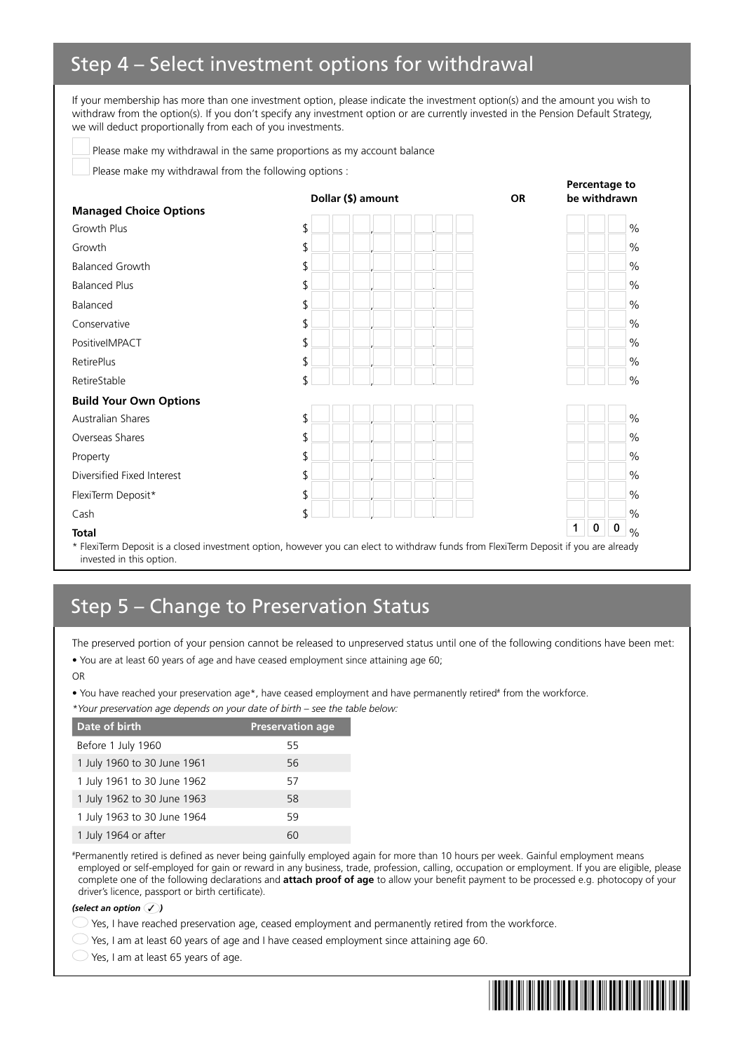### Step 4 – Select investment options for withdrawal

If your membership has more than one investment option, please indicate the investment option(s) and the amount you wish to withdraw from the option(s). If you don't specify any investment option or are currently invested in the Pension Default Strategy, we will deduct proportionally from each of you investments.

Please make my withdrawal in the same proportions as my account balance

Please make my withdrawal from the following options :

|                               | Dollar (\$) amount | <b>OR</b> |              | be withdrawn         |               |
|-------------------------------|--------------------|-----------|--------------|----------------------|---------------|
| <b>Managed Choice Options</b> |                    |           |              |                      |               |
| Growth Plus                   | \$                 |           |              |                      | $\frac{0}{0}$ |
| Growth                        | \$                 |           |              |                      | $\%$          |
| <b>Balanced Growth</b>        | \$                 |           |              |                      | $\%$          |
| <b>Balanced Plus</b>          | \$                 |           |              |                      | $\%$          |
| Balanced                      | \$                 |           |              |                      | $\frac{0}{0}$ |
| Conservative                  | \$                 |           |              |                      | $\%$          |
| PositiveIMPACT                | \$                 |           |              |                      | $\frac{0}{0}$ |
| RetirePlus                    | \$                 |           |              |                      | $\%$          |
| RetireStable                  | \$                 |           |              |                      | $\frac{0}{0}$ |
| <b>Build Your Own Options</b> |                    |           |              |                      |               |
| Australian Shares             | \$                 |           |              |                      | $\%$          |
| Overseas Shares               | \$                 |           |              |                      | $\frac{0}{0}$ |
| Property                      | \$                 |           |              |                      | $\frac{0}{0}$ |
| Diversified Fixed Interest    | \$                 |           |              |                      | $\frac{0}{0}$ |
| FlexiTerm Deposit*            | \$                 |           |              |                      | $\frac{0}{0}$ |
| Cash                          | \$                 |           |              |                      | $\frac{0}{0}$ |
| <b>Total</b>                  |                    |           | $\mathbf{1}$ | $\bf{0}$<br>$\bf{0}$ | $\frac{0}{0}$ |

\* FlexiTerm Deposit is a closed investment option, however you can elect to withdraw funds from FlexiTerm Deposit if you are already invested in this option.

### Step 5 – Change to Preservation Status

The preserved portion of your pension cannot be released to unpreserved status until one of the following conditions have been met: • You are at least 60 years of age and have ceased employment since attaining age 60;

OR

• You have reached your preservation age\*, have ceased employment and have permanently retired<sup>#</sup> from the workforce.

*\*Your preservation age depends on your date of birth – see the table below:*

| Date of birth               | <b>Preservation age</b> |
|-----------------------------|-------------------------|
| Before 1 July 1960          | 55                      |
| 1 July 1960 to 30 June 1961 | 56                      |
| 1 July 1961 to 30 June 1962 | 57                      |
| 1 July 1962 to 30 June 1963 | 58                      |
| 1 July 1963 to 30 June 1964 | 59                      |
| 1 July 1964 or after        | 60                      |

# Permanently retired is defined as never being gainfully employed again for more than 10 hours per week. Gainful employment means employed or self-employed for gain or reward in any business, trade, profession, calling, occupation or employment. If you are eligible, please complete one of the following declarations and **attach proof of age** to allow your benefit payment to be processed e.g. photocopy of your driver's licence, passport or birth certificate).

#### *(select an option* ✓ *)*

 $\supset$  Yes, I have reached preservation age, ceased employment and permanently retired from the workforce.

 $\bigcirc$  Yes, I am at least 60 years of age and I have ceased employment since attaining age 60.

 $\bigcirc$  Yes, I am at least 65 years of age.



**Percentage to**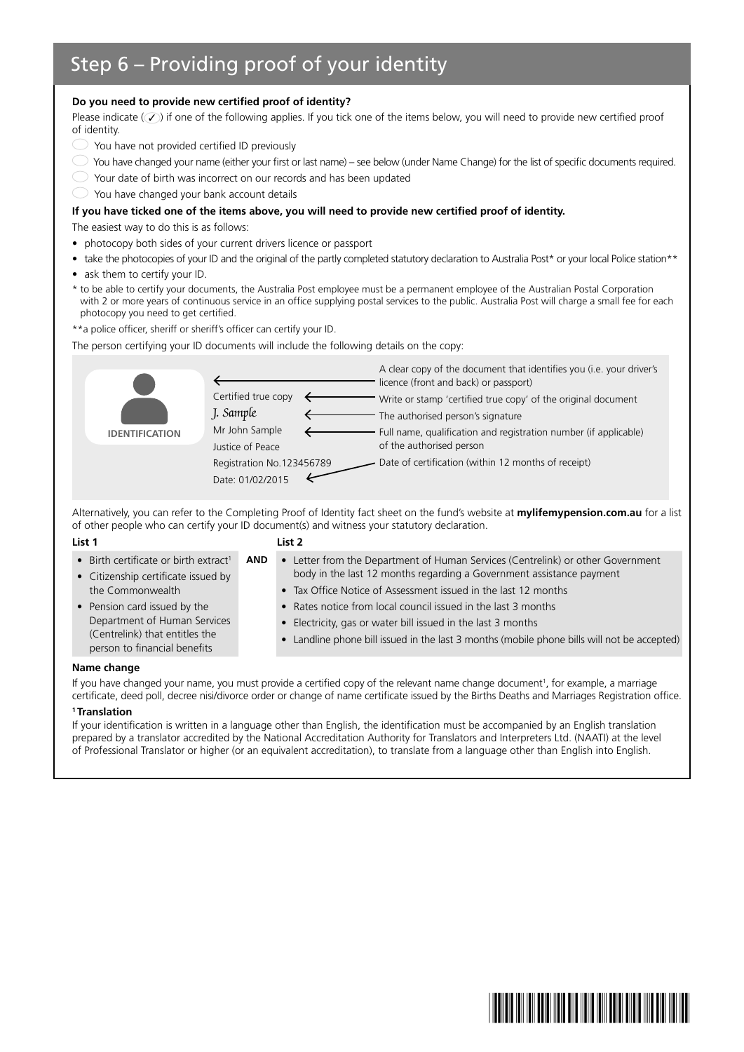### Step 6 – Providing proof of your identity

#### **Do you need to provide new certified proof of identity?**

Please indicate  $(\mathcal{V})$  if one of the following applies. If you tick one of the items below, you will need to provide new certified proof of identity.

- You have not provided certified ID previously
- You have changed your name (either your first or last name) see below (under Name Change) for the list of specific documents required.
- Your date of birth was incorrect on our records and has been updated
- You have changed your bank account details

#### **If you have ticked one of the items above, you will need to provide new certified proof of identity.**

The easiest way to do this is as follows:

- photocopy both sides of your current drivers licence or passport
- take the photocopies of your ID and the original of the partly completed statutory declaration to Australia Post\* or your local Police station\*\*
- ask them to certify your ID.
- \* to be able to certify your documents, the Australia Post employee must be a permanent employee of the Australian Postal Corporation with 2 or more years of continuous service in an office supplying postal services to the public. Australia Post will charge a small fee for each photocopy you need to get certified.

\*\*a police officer, sheriff or sheriff's officer can certify your ID.

The person certifying your ID documents will include the following details on the copy:

| A clear copy of the document that identifies you (i.e. your driver's |
|----------------------------------------------------------------------|
|                                                                      |
|                                                                      |
| Full name, qualification and registration number (if applicable)     |
|                                                                      |
|                                                                      |

Alternatively, you can refer to the Completing Proof of Identity fact sheet on the fund's website at **mylifemypension.com.au** for a list of other people who can certify your ID document(s) and witness your statutory declaration.

#### **List 1 List 2**

| • Birth certificate or birth extract <sup>1</sup>              | <b>AND</b> | • Letter from the Department of Human Services (Centrelink) or other Government             |
|----------------------------------------------------------------|------------|---------------------------------------------------------------------------------------------|
| • Citizenship certificate issued by                            |            | body in the last 12 months regarding a Government assistance payment                        |
| the Commonwealth                                               |            | • Tax Office Notice of Assessment issued in the last 12 months                              |
| • Pension card issued by the                                   |            | • Rates notice from local council issued in the last 3 months                               |
| Department of Human Services                                   |            | • Electricity, gas or water bill issued in the last 3 months                                |
| (Centrelink) that entitles the<br>person to financial benefits |            | • Landline phone bill issued in the last 3 months (mobile phone bills will not be accepted) |
|                                                                |            |                                                                                             |

#### **Name change**

If you have changed your name, you must provide a certified copy of the relevant name change document<sup>1</sup>, for example, a marriage certificate, deed poll, decree nisi/divorce order or change of name certificate issued by the Births Deaths and Marriages Registration office.

#### **1 Translation**

If your identification is written in a language other than English, the identification must be accompanied by an English translation prepared by a translator accredited by the National Accreditation Authority for Translators and Interpreters Ltd. (NAATI) at the level of Professional Translator or higher (or an equivalent accreditation), to translate from a language other than English into English.

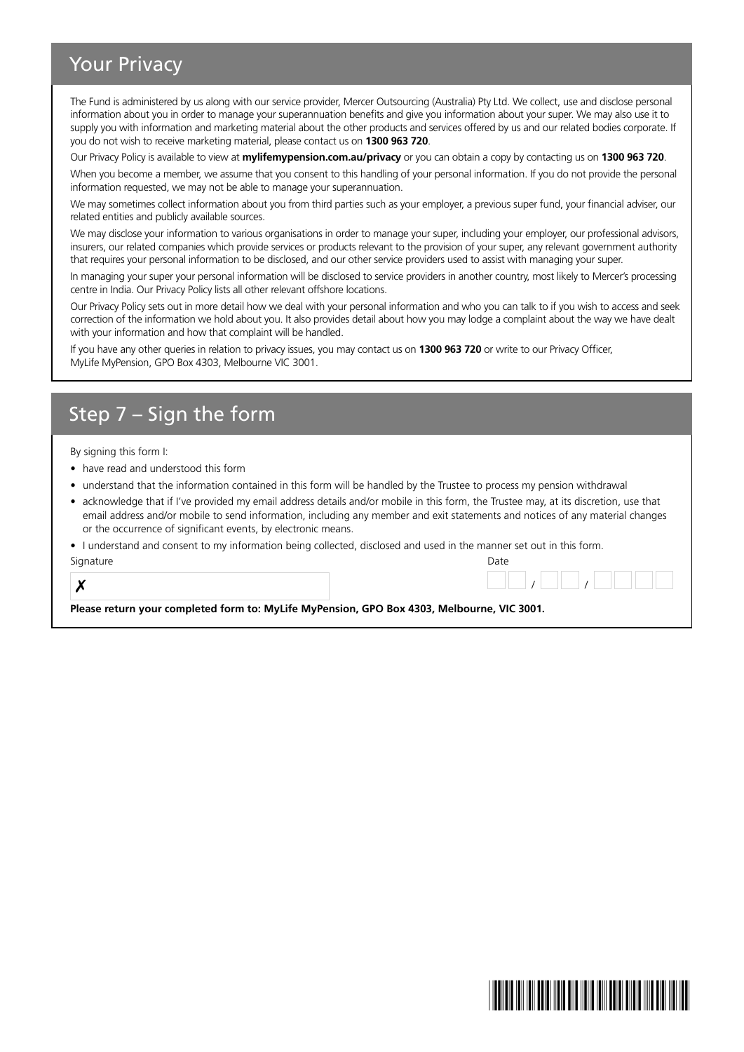### Your Privacy

The Fund is administered by us along with our service provider, Mercer Outsourcing (Australia) Pty Ltd. We collect, use and disclose personal information about you in order to manage your superannuation benefits and give you information about your super. We may also use it to supply you with information and marketing material about the other products and services offered by us and our related bodies corporate. If you do not wish to receive marketing material, please contact us on **1300 963 720**.

Our Privacy Policy is available to view at **mylifemypension.com.au/privacy** or you can obtain a copy by contacting us on **1300 963 720**.

When you become a member, we assume that you consent to this handling of your personal information. If you do not provide the personal information requested, we may not be able to manage your superannuation.

We may sometimes collect information about you from third parties such as your employer, a previous super fund, your financial adviser, our related entities and publicly available sources.

We may disclose your information to various organisations in order to manage your super, including your employer, our professional advisors, insurers, our related companies which provide services or products relevant to the provision of your super, any relevant government authority that requires your personal information to be disclosed, and our other service providers used to assist with managing your super.

In managing your super your personal information will be disclosed to service providers in another country, most likely to Mercer's processing centre in India. Our Privacy Policy lists all other relevant offshore locations.

Our Privacy Policy sets out in more detail how we deal with your personal information and who you can talk to if you wish to access and seek correction of the information we hold about you. It also provides detail about how you may lodge a complaint about the way we have dealt with your information and how that complaint will be handled.

If you have any other queries in relation to privacy issues, you may contact us on **1300 963 720** or write to our Privacy Officer, MyLife MyPension, GPO Box 4303, Melbourne VIC 3001.

### Step 7 – Sign the form

By signing this form I:

- have read and understood this form
- understand that the information contained in this form will be handled by the Trustee to process my pension withdrawal
- acknowledge that if I've provided my email address details and/or mobile in this form, the Trustee may, at its discretion, use that email address and/or mobile to send information, including any member and exit statements and notices of any material changes or the occurrence of significant events, by electronic means.

• I understand and consent to my information being collected, disclosed and used in the manner set out in this form.

| Signature | Date |
|-----------|------|
| $\bullet$ |      |

**Please return your completed form to: MyLife MyPension, GPO Box 4303, Melbourne, VIC 3001.**